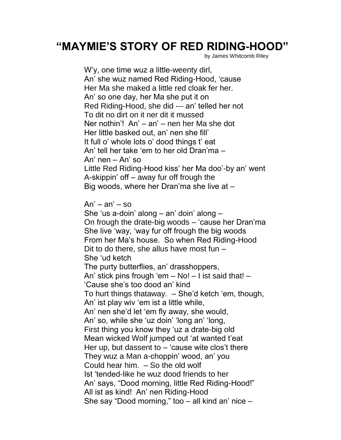## **"MAYMIE'S STORY OF RED RIDING-HOOD"**

by James Whitcomb Riley

W'y, one time wuz a little-weenty dirl, An' she wuz named Red Riding-Hood, 'cause Her Ma she maked a little red cloak fer her. An' so one day, her Ma she put it on Red Riding-Hood, she did --- an' telled her not To dit no dirt on it ner dit it mussed Ner nothin'! An' – an' – nen her Ma she dot Her little basked out, an' nen she fill' It full o' whole lots o' dood things t' eat An' tell her take 'em to her old Dran'ma – An' nen – An' so Little Red Riding-Hood kiss' her Ma doo'-by an' went A-skippin' off – away fur off frough the Big woods, where her Dran'ma she live at –

 $An' - an' - so$ 

She 'us a-doin' along – an' doin' along – On frough the drate-big woods – 'cause her Dran'ma She live 'way, 'way fur off frough the big woods From her Ma's house. So when Red Riding-Hood Dit to do there, she allus have most fun – She 'ud ketch The purty butterflies, an' drasshoppers, An' stick pins frough 'em – No! – I ist said that! – 'Cause she's too dood an' kind To hurt things thataway. – She'd ketch 'em, though, An' ist play wiv 'em ist a little while, An' nen she'd let 'em fly away, she would, An' so, while she 'uz doin' 'long an' 'long, First thing you know they 'uz a drate-big old Mean wicked Wolf jumped out 'at wanted t'eat Her up, but dassent to  $-$  'cause wite clos't there They wuz a Man a-choppin' wood, an' you Could hear him. – So the old wolf Ist 'tended-like he wuz dood friends to her An' says, "Dood morning, little Red Riding-Hood!" All ist as kind! An' nen Riding-Hood She say "Dood morning," too – all kind an' nice –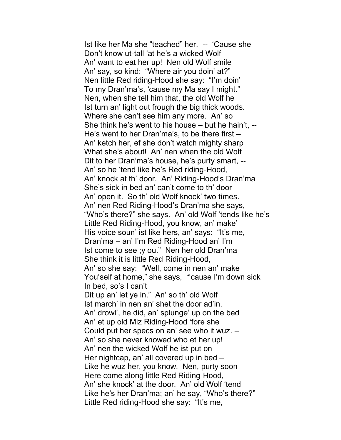Ist like her Ma she "teached" her. -- 'Cause she Don't know ut-tall 'at he's a wicked Wolf An' want to eat her up! Nen old Wolf smile An' say, so kind: "Where air you doin' at?" Nen little Red riding-Hood she say: "I'm doin' To my Dran'ma's, 'cause my Ma say I might." Nen, when she tell him that, the old Wolf he Ist turn an' light out frough the big thick woods. Where she can't see him any more. An' so She think he's went to his house – but he hain't, -- He's went to her Dran'ma's, to be there first – An' ketch her, ef she don't watch mighty sharp What she's about! An' nen when the old Wolf Dit to her Dran'ma's house, he's purty smart, -- An' so he 'tend like he's Red riding-Hood, An' knock at th' door. An' Riding-Hood's Dran'ma She's sick in bed an' can't come to th' door An' open it. So th' old Wolf knock' two times. An' nen Red Riding-Hood's Dran'ma she says, "Who's there?" she says. An' old Wolf 'tends like he's Little Red Riding-Hood, you know, an' make' His voice soun' ist like hers, an' says: "It's me, Dran'ma – an' I'm Red Riding-Hood an' I'm Ist come to see ;y ou." Nen her old Dran'ma She think it is little Red Riding-Hood, An' so she say: "Well, come in nen an' make You'self at home," she says, "'cause I'm down sick In bed, so's I can't Dit up an' let ye in." An' so th' old Wolf Ist march' in nen an' shet the door ad'in. An' drowl', he did, an' splunge' up on the bed An' et up old Miz Riding-Hood 'fore she Could put her specs on an' see who it wuz. – An' so she never knowed who et her up! An' nen the wicked Wolf he ist put on Her nightcap, an' all covered up in bed – Like he wuz her, you know. Nen, purty soon Here come along little Red Riding-Hood, An' she knock' at the door. An' old Wolf 'tend Like he's her Dran'ma; an' he say, "Who's there?" Little Red riding-Hood she say: "It's me,